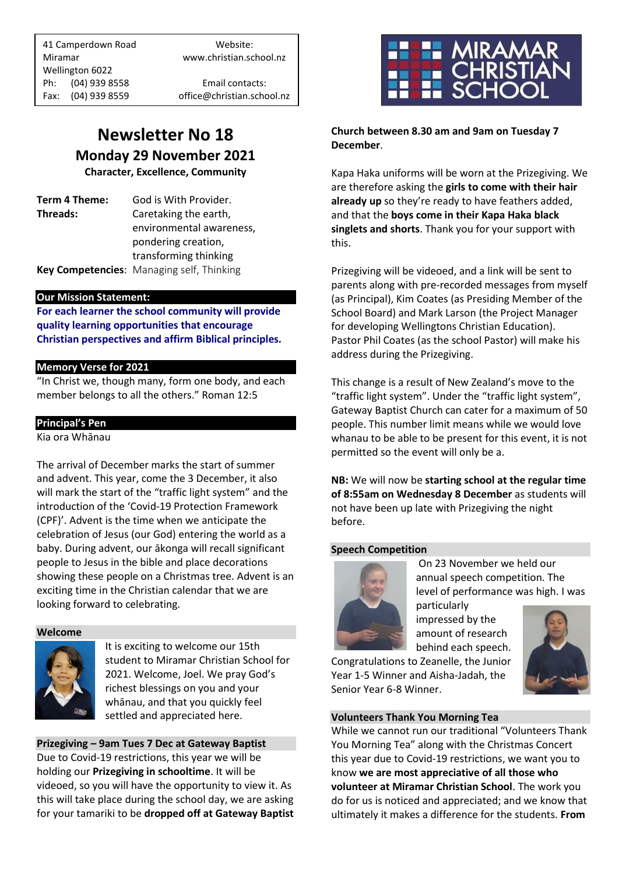41 Camperdown Road Website: Miramar www.christian.school.nz Wellington 6022 Ph: (04) 939 8558 Email contacts: Fax: (04) 939 8559 office@christian.school.nz

## **Newsletter No 18 Monday 29 November 2021**

**Character, Excellence, Community**

**Term 4 Theme:** God is With Provider. **Threads:** Caretaking the earth, environmental awareness, pondering creation, transforming thinking **Key Competencies**: Managing self, Thinking

## **Our Mission Statement:**

**For each learner the school community will provide quality learning opportunities that encourage Christian perspectives and affirm Biblical principles***.*

## **Memory Verse for 2021**

"In Christ we, though many, form one body, and each member belongs to all the others." Roman 12:5

#### **Principal's Pen**

Kia ora Whānau

The arrival of December marks the start of summer and advent. This year, come the 3 December, it also will mark the start of the "traffic light system" and the introduction of the 'Covid-19 Protection Framework (CPF)'. Advent is the time when we anticipate the celebration of Jesus (our God) entering the world as a baby. During advent, our ākonga will recall significant people to Jesus in the bible and place decorations showing these people on a Christmas tree. Advent is an exciting time in the Christian calendar that we are looking forward to celebrating.

#### **Welcome**



It is exciting to welcome our 15th student to Miramar Christian School for 2021. Welcome, Joel. We pray God's richest blessings on you and your whānau, and that you quickly feel settled and appreciated here.

**Prizegiving – 9am Tues 7 Dec at Gateway Baptist** Due to Covid-19 restrictions, this year we will be holding our **Prizegiving in schooltime**. It will be videoed, so you will have the opportunity to view it. As this will take place during the school day, we are asking for your tamariki to be **dropped off at Gateway Baptist**



**Church between 8.30 am and 9am on Tuesday 7 December**.

Kapa Haka uniforms will be worn at the Prizegiving. We are therefore asking the **girls to come with their hair already up** so they're ready to have feathers added, and that the **boys come in their Kapa Haka black singlets and shorts**. Thank you for your support with this.

Prizegiving will be videoed, and a link will be sent to parents along with pre-recorded messages from myself (as Principal), Kim Coates (as Presiding Member of the School Board) and Mark Larson (the Project Manager for developing Wellingtons Christian Education). Pastor Phil Coates (as the school Pastor) will make his address during the Prizegiving.

This change is a result of New Zealand's move to the "traffic light system". Under the "traffic light system", Gateway Baptist Church can cater for a maximum of 50 people. This number limit means while we would love whanau to be able to be present for this event, it is not permitted so the event will only be a.

**NB:** We will now be **starting school at the regular time of 8:55am on Wednesday 8 December** as students will not have been up late with Prizegiving the night before.

#### **Speech Competition**



On 23 November we held our annual speech competition. The level of performance was high. I was

particularly impressed by the amount of research behind each speech.



Congratulations to Zeanelle, the Junior Year 1-5 Winner and Aisha-Jadah, the Senior Year 6-8 Winner.

#### **Volunteers Thank You Morning Tea**

While we cannot run our traditional "Volunteers Thank You Morning Tea" along with the Christmas Concert this year due to Covid-19 restrictions, we want you to know **we are most appreciative of all those who volunteer at Miramar Christian School**. The work you do for us is noticed and appreciated; and we know that ultimately it makes a difference for the students. **From**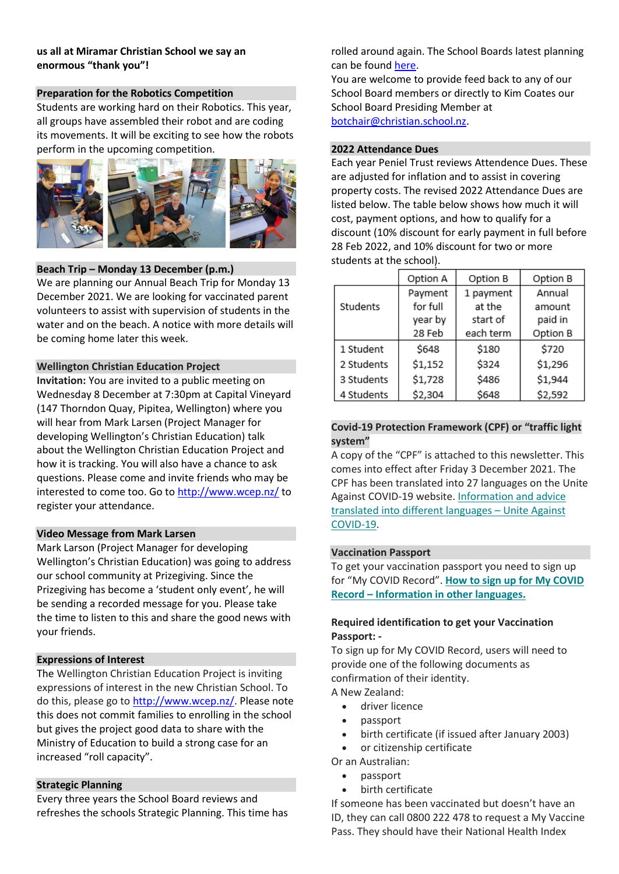## **us all at Miramar Christian School we say an enormous "thank you"!**

## **Preparation for the Robotics Competition**

Students are working hard on their Robotics. This year, all groups have assembled their robot and are coding its movements. It will be exciting to see how the robots perform in the upcoming competition.



#### **Beach Trip – Monday 13 December (p.m.)**

We are planning our Annual Beach Trip for Monday 13 December 2021. We are looking for vaccinated parent volunteers to assist with supervision of students in the water and on the beach. A notice with more details will be coming home later this week.

## **Wellington Christian Education Project**

**Invitation:** You are invited to a public meeting on Wednesday 8 December at 7:30pm at Capital Vineyard (147 Thorndon Quay, Pipitea, Wellington) where you will hear from Mark Larsen (Project Manager for developing Wellington's Christian Education) talk about the Wellington Christian Education Project and how it is tracking. You will also have a chance to ask questions. Please come and invite friends who may be interested to come too. Go to<http://www.wcep.nz/> to register your attendance.

#### **Video Message from Mark Larsen**

Mark Larson (Project Manager for developing Wellington's Christian Education) was going to address our school community at Prizegiving. Since the Prizegiving has become a 'student only event', he will be sending a recorded message for you. Please take the time to listen to this and share the good news with your friends.

## **Expressions of Interest**

The Wellington Christian Education Project is inviting expressions of interest in the new Christian School. To do this, please go to [http://www.wcep.nz/.](http://www.wcep.nz/) Please note this does not commit families to enrolling in the school but gives the project good data to share with the Ministry of Education to build a strong case for an increased "roll capacity".

## **Strategic Planning**

Every three years the School Board reviews and refreshes the schools Strategic Planning. This time has rolled around again. The School Boards latest planning can be found [here.](https://docs.google.com/presentation/d/1RuqMNZVJ8W36z7VeezqUBnEDT6njgaXo8qHzU8ekxQ8/edit#slide=id.ge6777dcdfc_0_277)

You are welcome to provide feed back to any of our School Board members or directly to Kim Coates our School Board Presiding Member at [botchair@christian.school.nz.](mailto:botchair@christian.school.nz)

## **2022 Attendance Dues**

Each year Peniel Trust reviews Attendence Dues. These are adjusted for inflation and to assist in covering property costs. The revised 2022 Attendance Dues are listed below. The table below shows how much it will cost, payment options, and how to qualify for a discount (10% discount for early payment in full before 28 Feb 2022, and 10% discount for two or more students at the school).

|            | Option A | Option B  | Option B |
|------------|----------|-----------|----------|
|            | Payment  | 1 payment | Annual   |
| Students   | for full | at the    | amount   |
|            | year by  | start of  | paid in  |
|            | 28 Feb   | each term | Option B |
| 1 Student  | \$648    | \$180     | \$720    |
| 2 Students | \$1,152  | \$324     | \$1,296  |
| 3 Students | \$1,728  | \$486     | \$1,944  |
| 4 Students | \$2,304  | \$648     | \$2,592  |

### **Covid-19 Protection Framework (CPF) or "traffic light system"**

A copy of the "CPF" is attached to this newsletter. This comes into effect after Friday 3 December 2021. The CPF has been translated into 27 languages on the Unite Against COVID-19 website. [Information and advice](https://govt.us3.list-manage.com/track/click?u=2f59fcd18a691d315b5a045cb&id=1de2d71d97&e=9f6dfc3458)  [translated into different languages](https://govt.us3.list-manage.com/track/click?u=2f59fcd18a691d315b5a045cb&id=1de2d71d97&e=9f6dfc3458) – Unite Against [COVID-19.](https://govt.us3.list-manage.com/track/click?u=2f59fcd18a691d315b5a045cb&id=1de2d71d97&e=9f6dfc3458)

## **Vaccination Passport**

To get your vaccination passport you need to sign up for "My COVID Record". **[How to sign up for My COVID](https://govt.us3.list-manage.com/track/click?u=2f59fcd18a691d315b5a045cb&id=e44494938d&e=9f6dfc3458)  Record – [Information in other languages.](https://govt.us3.list-manage.com/track/click?u=2f59fcd18a691d315b5a045cb&id=e44494938d&e=9f6dfc3458)**

## **Required identification to get your Vaccination Passport: -**

To sign up for My COVID Record, users will need to provide one of the following documents as confirmation of their identity.

A New Zealand:

- driver licence
- passport
- birth certificate (if issued after January 2003)
- or citizenship certificate
- Or an Australian:
	- passport
	- birth certificate

If someone has been vaccinated but doesn't have an ID, they can call 0800 222 478 to request a My Vaccine Pass. They should have their National Health Index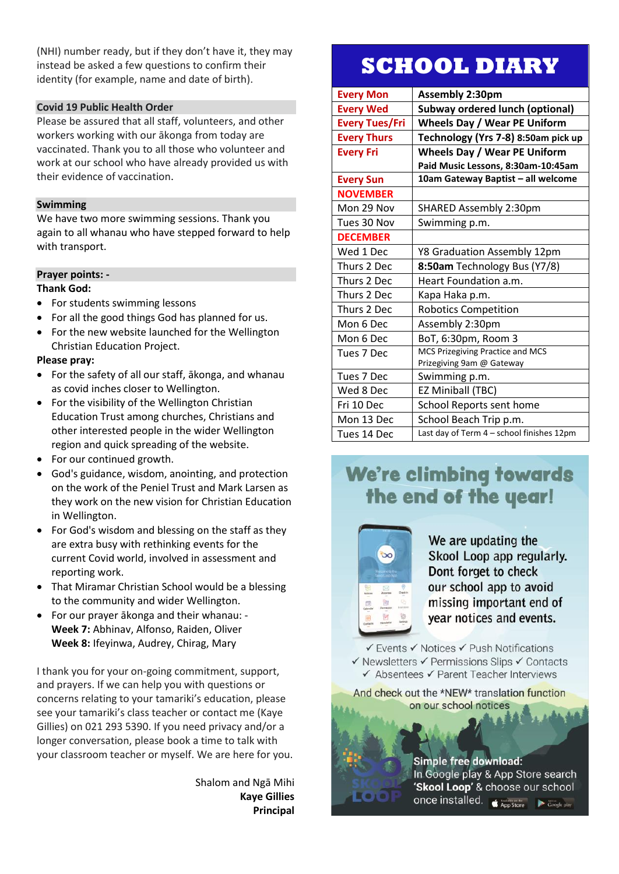(NHI) number ready, but if they don't have it, they may instead be asked a few questions to confirm their identity (for example, name and date of birth).

#### **Covid 19 Public Health Order**

Please be assured that all staff, volunteers, and other workers working with our ākonga from today are vaccinated. Thank you to all those who volunteer and work at our school who have already provided us with their evidence of vaccination.

## **Swimming**

We have two more swimming sessions. Thank you again to all whanau who have stepped forward to help with transport.

## **Prayer points: -**

#### **Thank God:**

- For students swimming lessons
- For all the good things God has planned for us.
- For the new website launched for the Wellington Christian Education Project.

#### **Please pray:**

- For the safety of all our staff, ākonga, and whanau as covid inches closer to Wellington.
- For the visibility of the Wellington Christian Education Trust among churches, Christians and other interested people in the wider Wellington region and quick spreading of the website.
- For our continued growth.
- God's guidance, wisdom, anointing, and protection on the work of the Peniel Trust and Mark Larsen as they work on the new vision for Christian Education in Wellington.
- For God's wisdom and blessing on the staff as they are extra busy with rethinking events for the current Covid world, involved in assessment and reporting work.
- That Miramar Christian School would be a blessing to the community and wider Wellington.
- For our prayer ākonga and their whanau: **Week 7:** Abhinav, Alfonso, Raiden, Oliver **Week 8:** Ifeyinwa, Audrey, Chirag, Mary

I thank you for your on-going commitment, support, and prayers. If we can help you with questions or concerns relating to your tamariki's education, please see your tamariki's class teacher or contact me (Kaye Gillies) on 021 293 5390. If you need privacy and/or a longer conversation, please book a time to talk with your classroom teacher or myself. We are here for you.

> Shalom and Ngā Mihi **Kaye Gillies Principal**

# **SCHOOL DIARY**

| <b>Every Mon</b>      | <b>Assembly 2:30pm</b>                    |  |
|-----------------------|-------------------------------------------|--|
| <b>Every Wed</b>      | <b>Subway ordered lunch (optional)</b>    |  |
| <b>Every Tues/Fri</b> | <b>Wheels Day / Wear PE Uniform</b>       |  |
| <b>Every Thurs</b>    | Technology (Yrs 7-8) 8:50am pick up       |  |
| <b>Every Fri</b>      | <b>Wheels Day / Wear PE Uniform</b>       |  |
|                       | Paid Music Lessons, 8:30am-10:45am        |  |
| <b>Every Sun</b>      | 10am Gateway Baptist – all welcome        |  |
| <b>NOVEMBER</b>       |                                           |  |
| Mon 29 Nov            | SHARED Assembly 2:30pm                    |  |
| Tues 30 Nov           | Swimming p.m.                             |  |
| <b>DECEMBER</b>       |                                           |  |
| Wed 1 Dec             | Y8 Graduation Assembly 12pm               |  |
| Thurs 2 Dec           | 8:50am Technology Bus (Y7/8)              |  |
| Thurs 2 Dec           | Heart Foundation a.m.                     |  |
| Thurs 2 Dec           | Kapa Haka p.m.                            |  |
| Thurs 2 Dec           | <b>Robotics Competition</b>               |  |
| Mon 6 Dec             | Assembly 2:30pm                           |  |
| Mon 6 Dec             | BoT, 6:30pm, Room 3                       |  |
| Tues 7 Dec            | MCS Prizegiving Practice and MCS          |  |
|                       | Prizegiving 9am @ Gateway                 |  |
| Tues 7 Dec            | Swimming p.m.                             |  |
| Wed 8 Dec             | EZ Miniball (TBC)                         |  |
| Fri 10 Dec            | School Reports sent home                  |  |
| Mon 13 Dec            | School Beach Trip p.m.                    |  |
| Tues 14 Dec           | Last day of Term 4 - school finishes 12pm |  |

## **We're climbing towards** the end of the year!



We are updating the Skool Loop app regularly. Dont forget to check our school app to avoid missing important end of year notices and events.

✔ Events ✔ Notices ✔ Push Notifications √ Newsletters √ Permissions Slips √ Contacts ✔ Absentees ✔ Parent Teacher Interviews

And check out the \*NEW\* translation function on our school notices

## Simple free download:

In Google play & App Store search 'Skool Loop' & choose our school once installed. App Store  $\blacktriangleright$  Google play